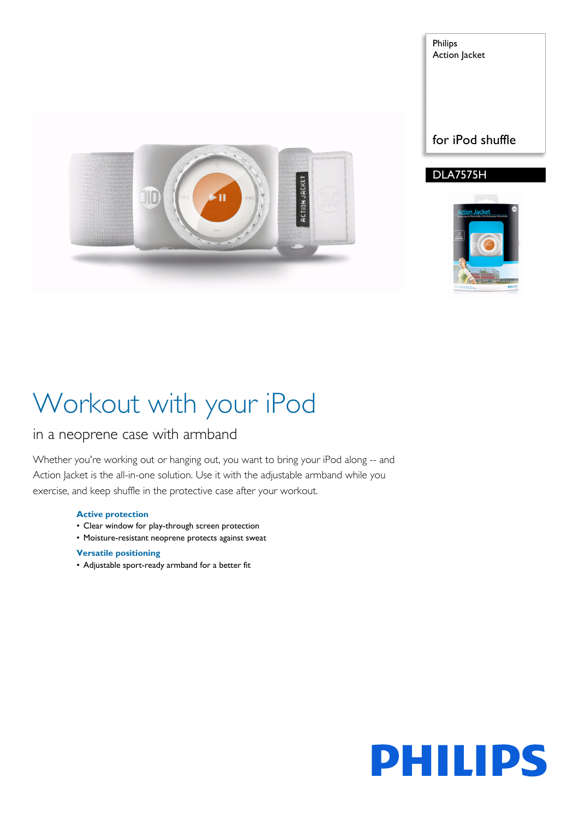

Philips Action Jacket

#### DLA7575H



# Workout with your iPod

### in a neoprene case with armband

Whether you're working out or hanging out, you want to bring your iPod along -- and Action Jacket is the all-in-one solution. Use it with the adjustable armband while you exercise, and keep shuffle in the protective case after your workout.

#### **Active protection**

- Clear window for play-through screen protection
- Moisture-resistant neoprene protects against sweat

#### **Versatile positioning**

• Adjustable sport-ready armband for a better fit